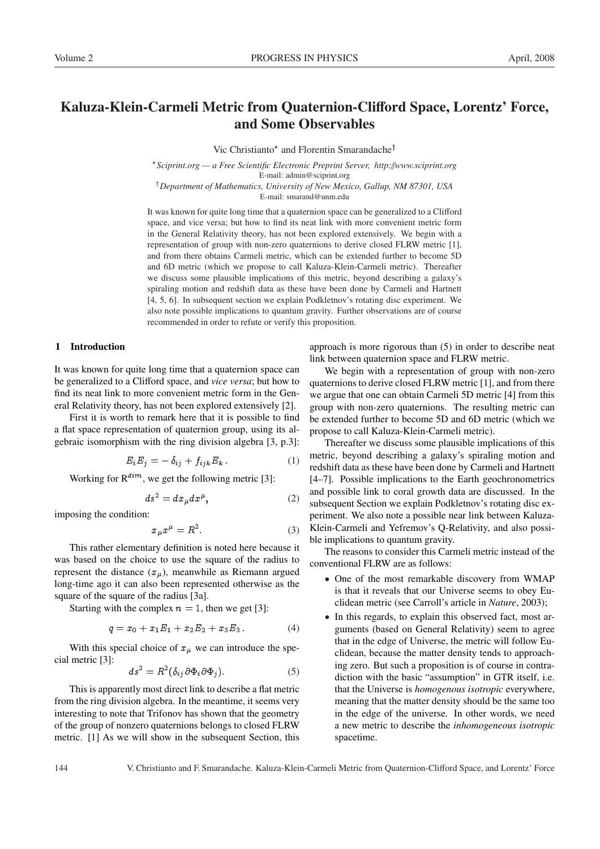# Kaluza-Klein-Carmeli Metric from Quaternion-Clifford Space, Lorentz' Force, and Some Observables

Vic Christianto\* and Florentin Smarandache<sup>†</sup>

 *Sciprint.org — a Free Scientific Electronic Preprint Server, http:*//*www.sciprint.org* E-mail: admin@sciprint.org

<sup>†</sup>Department of Mathematics, University of New Mexico, Gallup, NM 87301, USA E-mail: smarand@unm.edu

It was known for quite long time that a quaternion space can be generalized to a Clifford space, and vice versa; but how to find its neat link with more convenient metric form in the General Relativity theory, has not been explored extensively. We begin with a representation of group with non-zero quaternions to derive closed FLRW metric [1], and from there obtains Carmeli metric, which can be extended further to become 5D and 6D metric (which we propose to call Kaluza-Klein-Carmeli metric). Thereafter we discuss some plausible implications of this metric, beyond describing a galaxy's spiraling motion and redshift data as these have been done by Carmeli and Hartnett [4, 5, 6]. In subsequent section we explain Podkletnov's rotating disc experiment. We also note possible implications to quantum gravity. Further observations are of course recommended in order to refute or verify this proposition.

# 1 Introduction

It was known for quite long time that a quaternion space can be generalized to a Clifford space, and *vice versa*; but how to find its neat link to more convenient metric form in the General Relativity theory, has not been explored extensively [2].

First it is worth to remark here that it is possible to find a flat space representation of quaternion group, using its algebraic isomorphism with the ring division algebra [3, p.3]:

$$
E_i E_j = -\delta_{ij} + f_{ijk} E_k. \tag{1}
$$

Working for  $R^{dim}$ , we get the following metric [3]:

$$
ds^2 = dx_\mu dx^\mu, \qquad (2)
$$

imposing the condition:

$$
x_{\mu}x^{\mu} = R^2. \tag{3}
$$

This rather elementary definition is noted here because it was based on the choice to use the square of the radius to represent the distance  $(x_{\mu})$ , meanwhile as Riemann argued long-time ago it can also been represented otherwise as the square of the square of the radius [3a].

Starting with the complex  $n = 1$ , then we get [3]:

$$
q = x_0 + x_1 E_1 + x_2 E_2 + x_3 E_3. \tag{4}
$$

With this special choice of  $x<sub>\mu</sub>$  we can introduce the special metric [3]:

$$
ds^2 = R^2(\delta_{ij}\partial \Phi_i \partial \Phi_j). \tag{5}
$$

This is apparently most direct link to describe a flat metric from the ring division algebra. In the meantime, it seems very interesting to note that Trifonov has shown that the geometry of the group of nonzero quaternions belongs to closed FLRW metric. [1] As we will show in the subsequent Section, this

approach is more rigorous than (5) in order to describe neat link between quaternion space and FLRW metric.

We begin with a representation of group with non-zero quaternions to derive closed FLRW metric [1], and from there we argue that one can obtain Carmeli 5D metric [4] from this group with non-zero quaternions. The resulting metric can be extended further to become 5D and 6D metric (which we propose to call Kaluza-Klein-Carmeli metric).

Thereafter we discuss some plausible implications of this metric, beyond describing a galaxy's spiraling motion and redshift data as these have been done by Carmeli and Hartnett [4–7]. Possible implications to the Earth geochronometrics and possible link to coral growth data are discussed. In the subsequent Section we explain Podkletnov's rotating disc experiment. We also note a possible near link between Kaluza-Klein-Carmeli and Yefremov's Q-Relativity, and also possible implications to quantum gravity.

The reasons to consider this Carmeli metric instead of the conventional FLRW are as follows:

- One of the most remarkable discovery from WMAP is that it reveals that our Universe seems to obey Euclidean metric (see Carroll's article in *Nature*, 2003);
- In this regards, to explain this observed fact, most arguments (based on General Relativity) seem to agree that in the edge of Universe, the metric will follow Euclidean, because the matter density tends to approaching zero. But such a proposition is of course in contradiction with the basic "assumption" in GTR itself, i.e. that the Universe is *homogenous isotropic* everywhere, meaning that the matter density should be the same too in the edge of the universe. In other words, we need a new metric to describe the *inhomogeneous isotropic* spacetime.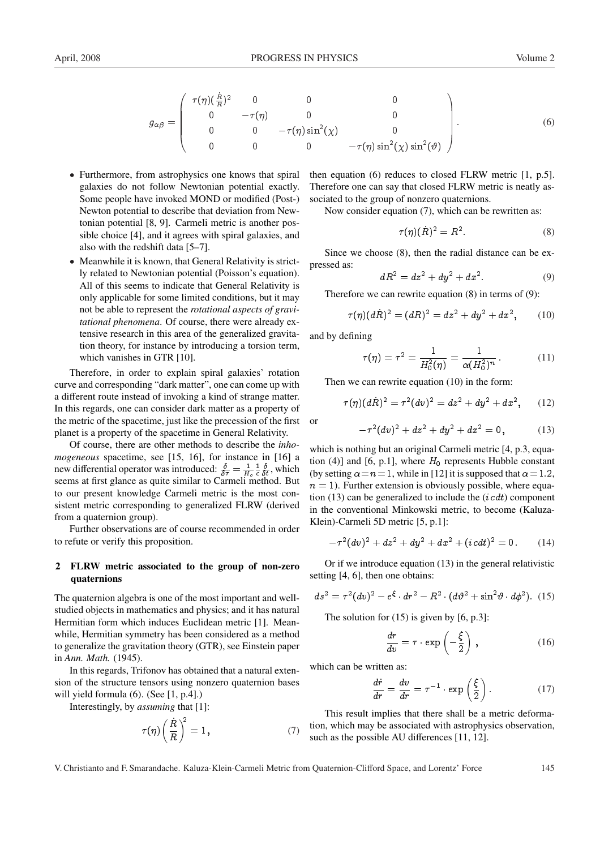$$
g_{\alpha\beta} = \begin{pmatrix} \tau(\eta)(\frac{\dot{R}}{R})^2 & 0 & 0 & 0 \\ 0 & -\tau(\eta) & 0 & 0 \\ 0 & 0 & -\tau(\eta)\sin^2(\chi) & 0 \\ 0 & 0 & 0 & -\tau(\eta)\sin^2(\chi)\sin^2(\vartheta) \end{pmatrix}.
$$
 (6)

- Furthermore, from astrophysics one knows that spiral galaxies do not follow Newtonian potential exactly. Some people have invoked MOND or modified (Post-) Newton potential to describe that deviation from Newtonian potential [8, 9]. Carmeli metric is another possible choice [4], and it agrees with spiral galaxies, and also with the redshift data [5–7].
- Meanwhile it is known, that General Relativity is strictly related to Newtonian potential (Poisson's equation). All of this seems to indicate that General Relativity is only applicable for some limited conditions, but it may not be able to represent the *rotational aspects of gravitational phenomena*. Of course, there were already extensive research in this area of the generalized gravitation theory, for instance by introducing a torsion term, which vanishes in GTR [10].

Therefore, in order to explain spiral galaxies' rotation curve and corresponding "dark matter", one can come up with a different route instead of invoking a kind of strange matter. In this regards, one can consider dark matter as a property of the metric of the spacetime, just like the precession of the first planet is a property of the spacetime in General Relativity.

Of course, there are other methods to describe the *inhomogeneous* spacetime, see [15, 16], for instance in [16] a new differential operator was introduced:  $\frac{\delta}{\delta \tau} = \frac{1}{H_o} \frac{1}{c} \frac{\delta}{\delta t}$ , which seems at first glance as quite similar to Carmeli method. But to our present knowledge Carmeli metric is the most consistent metric corresponding to generalized FLRW (derived from a quaternion group).

Further observations are of course recommended in order to refute or verify this proposition.

## 2 FLRW metric associated to the group of non-zero quaternions

The quaternion algebra is one of the most important and wellstudied objects in mathematics and physics; and it has natural Hermitian form which induces Euclidean metric [1]. Meanwhile, Hermitian symmetry has been considered as a method to generalize the gravitation theory (GTR), see Einstein paper in *Ann. Math.* (1945).

In this regards, Trifonov has obtained that a natural extension of the structure tensors using nonzero quaternion bases will yield formula (6). (See [1, p.4].)

Interestingly, by *assuming* that [1]:

$$
\tau(\eta)\left(\frac{\dot{R}}{R}\right)^2 = 1, \qquad (7)
$$

then equation (6) reduces to closed FLRW metric [1, p.5]. Therefore one can say that closed FLRW metric is neatly associated to the group of nonzero quaternions.

Now consider equation (7), which can be rewritten as:

$$
\tau(\eta)(R)^2 = R^2. \tag{8}
$$

Since we choose (8), then the radial distance can be expressed as:

$$
dR^2 = dz^2 + dy^2 + dx^2.
$$
 (9)

Therefore we can rewrite equation (8) in terms of (9):

$$
\tau(\eta)(d\dot{R})^2 = (dR)^2 = dz^2 + dy^2 + dx^2, \qquad (10)
$$

and by defining

$$
\tau(\eta) = \tau^2 = \frac{1}{H_0^2(\eta)} = \frac{1}{\alpha (H_0^2)^n} \,. \tag{11}
$$

Then we can rewrite equation (10) in the form:

$$
\tau(\eta)(d\dot{R})^2 = \tau^2 (dv)^2 = dz^2 + dy^2 + dx^2, \qquad (12)
$$

or

$$
-\tau^2 (dv)^2 + dz^2 + dy^2 + dx^2 = 0,
$$
 (13)

which is nothing but an original Carmeli metric [4, p.3, equation (4)] and [6, p.1], where  $H_0$  represents Hubble constant (by setting  $\alpha = n = 1$ , while in [12] it is supposed that  $\alpha = 1.2$ ,  $n = 1$ ). Further extension is obviously possible, where equation (13) can be generalized to include the  $(i c dt)$  component in the conventional Minkowski metric, to become (Kaluza-Klein)-Carmeli 5D metric [5, p.1]:

$$
-\tau^2 (dv)^2 + dz^2 + dy^2 + dx^2 + (icdt)^2 = 0.
$$
 (14)

Or if we introduce equation (13) in the general relativistic setting [4, 6], then one obtains:

$$
ds2 = \tau2 (dv)2 - eξ \cdot dr2 - R2 \cdot (d\vartheta2 + \sin2 \vartheta \cdot d\varphi2). (15)
$$

The solution for  $(15)$  is given by  $[6, p.3]$ :

$$
\frac{dr}{dv} = \tau \cdot \exp\left(-\frac{\xi}{2}\right) \,, \tag{16}
$$

which can be written as:

$$
\frac{d\dot{r}}{dr} = \frac{dv}{dr} = \tau^{-1} \cdot \exp\left(\frac{\xi}{2}\right). \tag{17}
$$

This result implies that there shall be a metric deformation, which may be associated with astrophysics observation, such as the possible AU differences [11, 12].

V. Christianto and F. Smarandache. Kaluza-Klein-Carmeli Metric from Quaternion-Clifford Space, and Lorentz' Force 145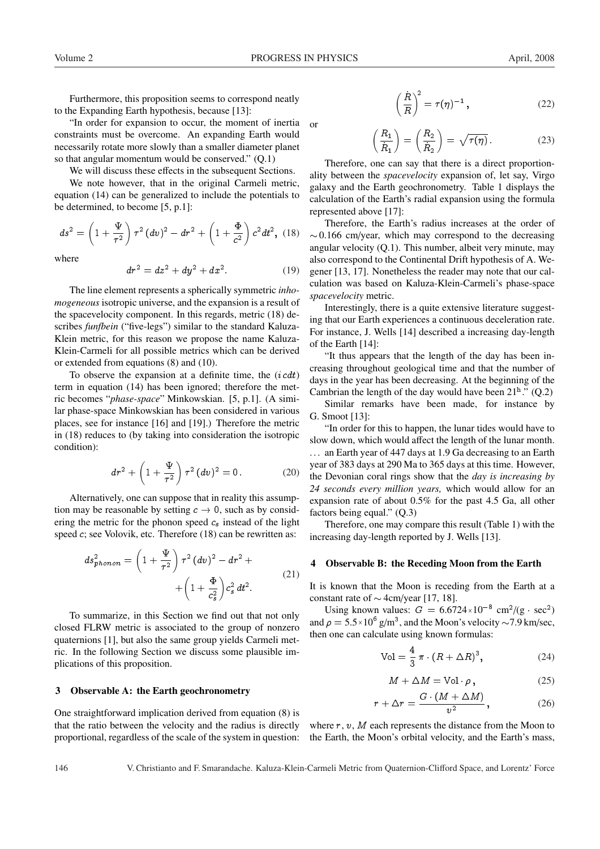or

Furthermore, this proposition seems to correspond neatly to the Expanding Earth hypothesis, because [13]:

"In order for expansion to occur, the moment of inertia constraints must be overcome. An expanding Earth would necessarily rotate more slowly than a smaller diameter planet so that angular momentum would be conserved." (Q.1)

We will discuss these effects in the subsequent Sections.

We note however, that in the original Carmeli metric, equation (14) can be generalized to include the potentials to be determined, to become [5, p.1]:

$$
ds^{2} = \left(1 + \frac{\Psi}{\tau^{2}}\right)\tau^{2} (dv)^{2} - dr^{2} + \left(1 + \frac{\Phi}{c^{2}}\right)c^{2} dt^{2}, (18)
$$

where

$$
dr^2 = dz^2 + dy^2 + dx^2.
$$
 (19)

The line element represents a spherically symmetric *inhomogeneous* isotropic universe, and the expansion is a result of the spacevelocity component. In this regards, metric (18) describes *funfbein* ("five-legs") similar to the standard Kaluza-Klein metric, for this reason we propose the name Kaluza-Klein-Carmeli for all possible metrics which can be derived or extended from equations (8) and (10).

To observe the expansion at a definite time, the  $(i c dt)$ term in equation (14) has been ignored; therefore the metric becomes "*phase-space*" Minkowskian. [5, p.1]. (A similar phase-space Minkowskian has been considered in various places, see for instance [16] and [19].) Therefore the metric in (18) reduces to (by taking into consideration the isotropic condition):

$$
dr^{2} + \left(1 + \frac{\Psi}{\tau^{2}}\right)\tau^{2} (dv)^{2} = 0.
$$
 (20)

Alternatively, one can suppose that in reality this assumption may be reasonable by setting  $c \to 0$ , such as by considering the metric for the phonon speed  $c_s$  instead of the light speed c; see Volovik, etc. Therefore (18) can be rewritten as:

$$
ds_{phonon}^2 = \left(1 + \frac{\Psi}{\tau^2}\right)\tau^2 (dv)^2 - dr^2 + \left(1 + \frac{\Phi}{c_s^2}\right)c_s^2 dt^2.
$$
\n
$$
(21)
$$

To summarize, in this Section we find out that not only closed FLRW metric is associated to the group of nonzero quaternions [1], but also the same group yields Carmeli metric. In the following Section we discuss some plausible implications of this proposition.

### 3 Observable A: the Earth geochronometry

One straightforward implication derived from equation (8) is that the ratio between the velocity and the radius is directly proportional, regardless of the scale of the system in question:

$$
\left(\frac{\dot{R}}{R}\right)^2 = \tau(\eta)^{-1},\tag{22}
$$

 $R_1$  $\dot{R}_1$  $=\left(\frac{R_2}{R_1}\right)$  $\dot{R}_2$  $= \sqrt{\tau(\eta)}$  (23)

Therefore, one can say that there is a direct proportionality between the *spacevelocity* expansion of, let say, Virgo galaxy and the Earth geochronometry. Table 1 displays the calculation of the Earth's radial expansion using the formula represented above [17]:

Therefore, the Earth's radius increases at the order of  $\sim$  0.166 cm/year, which may correspond to the decreasing angular velocity  $(Q.1)$ . This number, albeit very minute, may also correspond to the Continental Drift hypothesis of A. Wegener [13, 17]. Nonetheless the reader may note that our calculation was based on Kaluza-Klein-Carmeli's phase-space *spacevelocity* metric.

Interestingly, there is a quite extensive literature suggesting that our Earth experiences a continuous deceleration rate. For instance, J. Wells [14] described a increasing day-length of the Earth [14]:

"It thus appears that the length of the day has been increasing throughout geological time and that the number of days in the year has been decreasing. At the beginning of the Cambrian the length of the day would have been  $21^{\mathrm{h}}$ ." (Q.2)

Similar remarks have been made, for instance by G. Smoot [13]:

"In order for this to happen, the lunar tides would have to slow down, which would affect the length of the lunar month. ... an Earth year of 447 days at 1.9 Ga decreasing to an Earth year of 383 days at 290 Ma to 365 days at this time. However, the Devonian coral rings show that the *day is increasing by 24 seconds every million years,* which would allow for an expansion rate of about 0.5% for the past 4.5 Ga, all other factors being equal." (Q.3)

Therefore, one may compare this result (Table 1) with the increasing day-length reported by J. Wells [13].

#### 4 Observable B: the Receding Moon from the Earth

It is known that the Moon is receding from the Earth at a constant rate of  $\sim$  4cm/year [17, 18].

Using known values:  $G = 6.6724 \times 10^{-8}$  cm<sup>2</sup>/(g  $\sec^2$ ) and  $\rho = 5.5 \times 10^6$  g/m<sup>3</sup>, and the Moon's velocity  $\sim$  7.9 km/sec, then one can calculate using known formulas:

$$
Vol = \frac{4}{3} \pi \cdot (R + \Delta R)^3, \qquad (24)
$$

$$
M + \Delta M = \text{Vol} \cdot \rho, \qquad (25)
$$

$$
r + \Delta r = \frac{G \cdot (M + \Delta M)}{v^2}, \qquad (26)
$$

where  $r, v, M$  each represents the distance from the Moon to the Earth, the Moon's orbital velocity, and the Earth's mass,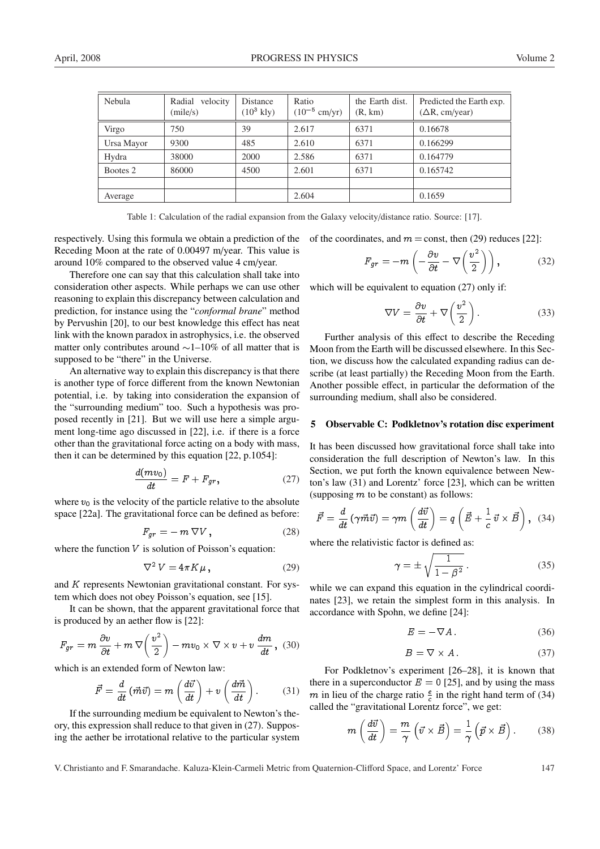| Nebula     | Radial velocity<br>(mile/s) | Distance<br>$(10^3 \text{ kly})$ | Ratio<br>$(10^{-5}$ cm/yr) | the Earth dist.<br>(R, km) | Predicted the Earth exp.<br>$(\Delta R, cm/year)$ |
|------------|-----------------------------|----------------------------------|----------------------------|----------------------------|---------------------------------------------------|
| Virgo      | 750                         | 39                               | 2.617                      | 6371                       | 0.16678                                           |
| Ursa Mayor | 9300                        | 485                              | 2.610                      | 6371                       | 0.166299                                          |
| Hydra      | 38000                       | 2000                             | 2.586                      | 6371                       | 0.164779                                          |
| Bootes 2   | 86000                       | 4500                             | 2.601                      | 6371                       | 0.165742                                          |
|            |                             |                                  |                            |                            |                                                   |
| Average    |                             |                                  | 2.604                      |                            | 0.1659                                            |

Table 1: Calculation of the radial expansion from the Galaxy velocity/distance ratio. Source: [17].

respectively. Using this formula we obtain a prediction of the Receding Moon at the rate of 0.00497 m/year. This value is around 10% compared to the observed value 4 cm/year.

Therefore one can say that this calculation shall take into consideration other aspects. While perhaps we can use other reasoning to explain this discrepancy between calculation and prediction, for instance using the "*conformal brane*" method by Pervushin [20], to our best knowledge this effect has neat link with the known paradox in astrophysics, i.e. the observed matter only contributes around  $\sim$  1–10% of all matter that is supposed to be "there" in the Universe.

An alternative way to explain this discrepancy is that there is another type of force different from the known Newtonian potential, i.e. by taking into consideration the expansion of the "surrounding medium" too. Such a hypothesis was proposed recently in [21]. But we will use here a simple argument long-time ago discussed in [22], i.e. if there is a force other than the gravitational force acting on a body with mass, then it can be determined by this equation [22, p.1054]:

$$
\frac{d(mv_0)}{dt} = F + F_{gr},\qquad(27)
$$

where  $v_0$  is the velocity of the particle relative to the absolute space [22a]. The gravitational force can be defined as before:

$$
F_{gr} = -m \nabla V , \qquad (28)
$$

where the function  $V$  is solution of Poisson's equation:

$$
\nabla^2 V = 4\pi K\mu\,,\tag{29}
$$

and K represents Newtonian gravitational constant. For system which does not obey Poisson's equation, see [15].

It can be shown, that the apparent gravitational force that is produced by an aether flow is [22]:

$$
F_{gr} = m \frac{\partial v}{\partial t} + m \nabla \left(\frac{v^2}{2}\right) - mv_0 \times \nabla \times v + v \frac{dm}{dt}, \quad (30)
$$

which is an extended form of Newton law:

$$
\vec{F} = \frac{d}{dt} \left( \vec{m} \vec{v} \right) = m \left( \frac{d\vec{v}}{dt} \right) + v \left( \frac{d\vec{m}}{dt} \right). \tag{31}
$$

If the surrounding medium be equivalent to Newton's theory, this expression shall reduce to that given in (27). Supposing the aether be irrotational relative to the particular system of the coordinates, and  $m =$ const, then (29) reduces [22]:

$$
F_{gr} = -m\left(-\frac{\partial v}{\partial t} - \nabla\left(\frac{v^2}{2}\right)\right),\tag{32}
$$

which will be equivalent to equation (27) only if:

$$
\nabla V = \frac{\partial v}{\partial t} + \nabla \left(\frac{v^2}{2}\right). \tag{33}
$$

Further analysis of this effect to describe the Receding Moon from the Earth will be discussed elsewhere. In this Section, we discuss how the calculated expanding radius can describe (at least partially) the Receding Moon from the Earth. Another possible effect, in particular the deformation of the surrounding medium, shall also be considered.

#### 5 Observable C: Podkletnov's rotation disc experiment

It has been discussed how gravitational force shall take into consideration the full description of Newton's law. In this Section, we put forth the known equivalence between Newton's law (31) and Lorentz' force [23], which can be written (supposing  $m$  to be constant) as follows:

$$
\vec{F} = \frac{d}{dt} \left( \gamma \vec{m} \vec{v} \right) = \gamma m \left( \frac{d\vec{v}}{dt} \right) = q \left( \vec{E} + \frac{1}{c} \vec{v} \times \vec{B} \right), \quad (34)
$$

where the relativistic factor is defined as:

$$
\gamma = \pm \sqrt{\frac{1}{1 - \beta^2}} \,. \tag{35}
$$

while we can expand this equation in the cylindrical coordinates [23], we retain the simplest form in this analysis. In accordance with Spohn, we define [24]:

$$
E = -\nabla A. \tag{36}
$$

$$
B = \nabla \times A. \tag{37}
$$

For Podkletnov's experiment [26–28], it is known that there in a superconductor  $E = 0$  [25], and by using the mass m in lieu of the charge ratio  $\frac{e}{c}$  in the right hand term of (34) called the "gravitational Lorentz force", we get:

$$
m\left(\frac{d\vec{v}}{dt}\right) = \frac{m}{\gamma}\left(\vec{v} \times \vec{B}\right) = \frac{1}{\gamma}\left(\vec{p} \times \vec{B}\right). \tag{38}
$$

V. Christianto and F. Smarandache. Kaluza-Klein-Carmeli Metric from Quaternion-Clifford Space, and Lorentz' Force 147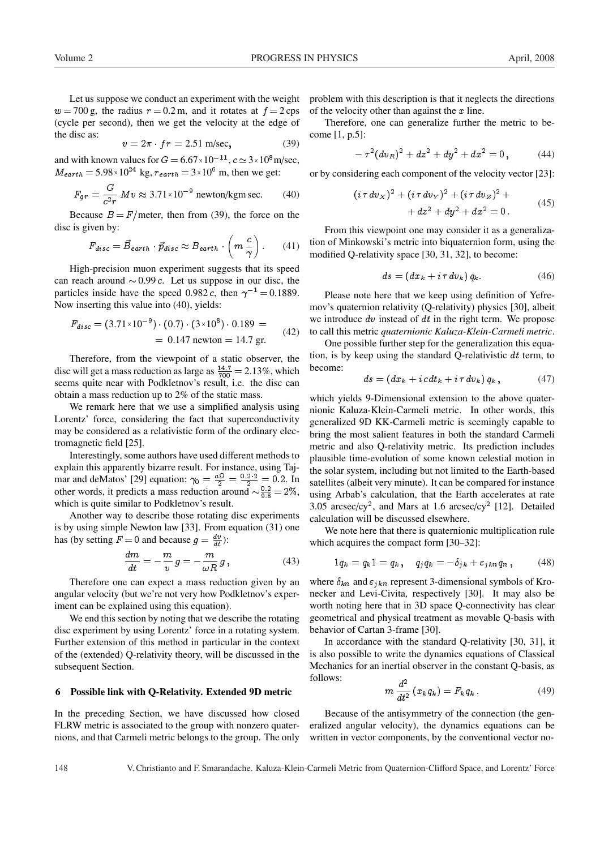Let us suppose we conduct an experiment with the weight  $w = 700$  g, the radius  $r = 0.2$  m, and it rotates at  $f = 2$  cps (cycle per second), then we get the velocity at the edge of the disc as:

$$
v = 2\pi \cdot fr = 2.51 \text{ m/sec},\tag{39}
$$

and with known values for  $G = 6.67 \times 10^{-11}$ ,  $c \approx 3 \times 10^8$  m/sec,  $M_{earth} = 5.98 \times 10^{24}$  kg,  $r_{earth} = 3 \times 10^{6}$  m, then we get:

$$
F_{gr} = \frac{G}{c^2 r} M v \approx 3.71 \times 10^{-9} \text{ newton/kgm sec.}
$$
 (40)

Because  $B = F/m$ eter, then from (39), the force on the disc is given by:

$$
F_{disc} = \vec{B}_{earth} \cdot \vec{p}_{disc} \approx B_{earth} \cdot \left( m \frac{c}{\gamma} \right). \tag{41}
$$

High-precision muon experiment suggests that its speed can reach around  $\sim 0.99$  c. Let us suppose in our disc, the particles inside have the speed 0.982 c, then  $\gamma^{-1} = 0.1889$ . Now inserting this value into (40), yields:

$$
F_{disc} = (3.71 \times 10^{-9}) \cdot (0.7) \cdot (3 \times 10^{8}) \cdot 0.189 =
$$
  
= 0.147 newton = 14.7 gr. (42)

Therefore, from the viewpoint of a static observer, the disc will get a mass reduction as large as  $\frac{14.7}{700} = 2.13\%$ , which seems quite near with Podkletnov's result, i.e. the disc can obtain a mass reduction up to 2% of the static mass.

We remark here that we use a simplified analysis using Lorentz' force, considering the fact that superconductivity may be considered as a relativistic form of the ordinary electromagnetic field [25].

Interestingly, some authors have used different methods to explain this apparently bizarre result. For instance, using Tajmar and deMatos' [29] equation:  $\gamma_0 = \frac{a\Omega}{2} = \frac{0.2 \cdot 2}{2} = 0.2$ . In other words, it predicts a mass reduction around  $\sim \frac{0.2}{9.8} = 2\%$ , which is quite similar to Podkletnov's result.

Another way to describe those rotating disc experiments is by using simple Newton law [33]. From equation (31) one has (by setting  $F = 0$  and because  $g = \frac{dv}{dt}$ ):

$$
\frac{dm}{dt} = -\frac{m}{v}g = -\frac{m}{\omega R}g\,,\tag{43}
$$

Therefore one can expect a mass reduction given by an angular velocity (but we're not very how Podkletnov's experiment can be explained using this equation).

We end this section by noting that we describe the rotating disc experiment by using Lorentz' force in a rotating system. Further extension of this method in particular in the context of the (extended) Q-relativity theory, will be discussed in the subsequent Section.

#### 6 Possible link with Q-Relativity. Extended 9D metric

In the preceding Section, we have discussed how closed FLRW metric is associated to the group with nonzero quaternions, and that Carmeli metric belongs to the group. The only problem with this description is that it neglects the directions of the velocity other than against the  $x$  line.

Therefore, one can generalize further the metric to become [1, p.5]:

$$
-\tau^2 (dv_R)^2 + dz^2 + dy^2 + dx^2 = 0,
$$
 (44)

or by considering each component of the velocity vector [23]:

$$
(i\tau dv_X)^2 + (i\tau dv_Y)^2 + (i\tau dv_Z)^2 ++ dz^2 + dy^2 + dx^2 = 0.
$$
 (45)

From this viewpoint one may consider it as a generalization of Minkowski's metric into biquaternion form, using the modified Q-relativity space [30, 31, 32], to become:

$$
ds = (dx_k + i\tau dv_k) q_k. \tag{46}
$$

Please note here that we keep using definition of Yefremov's quaternion relativity (Q-relativity) physics [30], albeit we introduce  $dv$  instead of  $dt$  in the right term. We propose to call this metric *quaternionic Kaluza-Klein-Carmeli metric*.

One possible further step for the generalization this equation, is by keep using the standard Q-relativistic dt term, to become:

$$
ds = (dx_k + ic dt_k + i\tau dv_k) q_k, \qquad (47)
$$

which yields 9-Dimensional extension to the above quaternionic Kaluza-Klein-Carmeli metric. In other words, this generalized 9D KK-Carmeli metric is seemingly capable to bring the most salient features in both the standard Carmeli metric and also Q-relativity metric. Its prediction includes plausible time-evolution of some known celestial motion in the solar system, including but not limited to the Earth-based satellites (albeit very minute). It can be compared for instance using Arbab's calculation, that the Earth accelerates at rate 3.05 arcsec/cy<sup>2</sup>, and Mars at 1.6 arcsec/cy<sup>2</sup> [12]. Detailed calculation will be discussed elsewhere.

We note here that there is quaternionic multiplication rule which acquires the compact form [30–32]:

$$
1q_k = q_k 1 = q_k , \quad q_j q_k = -\delta_{jk} + \varepsilon_{jkn} q_n , \qquad (48)
$$

where  $\delta_{kn}$  and  $\varepsilon_{jkn}$  represent 3-dimensional symbols of Kronecker and Levi-Civita, respectively [30]. It may also be worth noting here that in 3D space Q-connectivity has clear geometrical and physical treatment as movable Q-basis with behavior of Cartan 3-frame [30].

In accordance with the standard Q-relativity [30, 31], it is also possible to write the dynamics equations of Classical Mechanics for an inertial observer in the constant Q-basis, as follows:

$$
m\,\frac{d^2}{dt^2}\left(x_kq_k\right) = F_kq_k\,. \tag{49}
$$

Because of the antisymmetry of the connection (the generalized angular velocity), the dynamics equations can be written in vector components, by the conventional vector no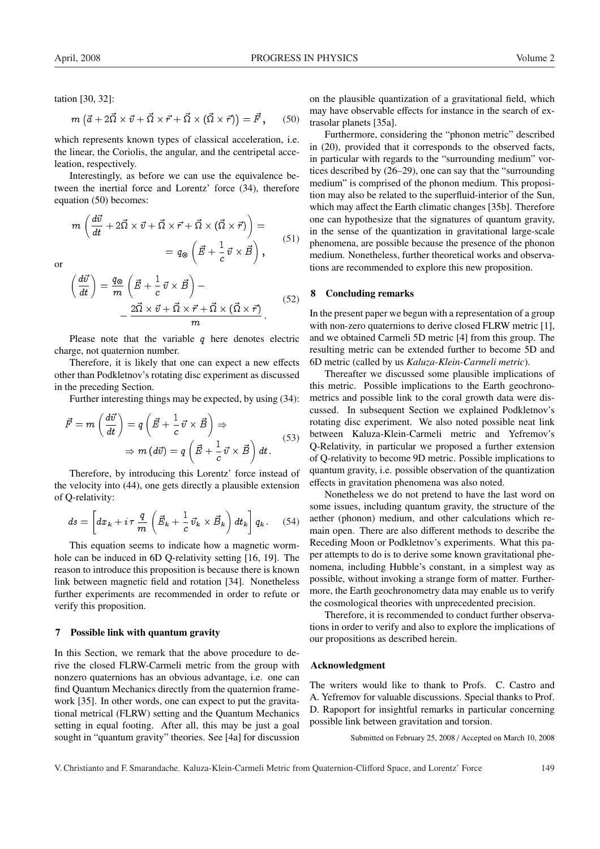tation [30, 32]:

$$
m\left(\vec{a}+2\vec{\Omega}\times\vec{v}+\vec{\Omega}\times\vec{r}+\vec{\Omega}\times(\vec{\Omega}\times\vec{r})\right)=\vec{F},\qquad(50)
$$

which represents known types of classical acceleration, i.e. the linear, the Coriolis, the angular, and the centripetal acceleation, respectively.

Interestingly, as before we can use the equivalence between the inertial force and Lorentz' force (34), therefore equation (50) becomes:

$$
m\left(\frac{d\vec{v}}{dt} + 2\vec{\Omega} \times \vec{v} + \vec{\Omega} \times \vec{r} + \vec{\Omega} \times (\vec{\Omega} \times \vec{r})\right) =
$$
  
=  $q_{\otimes} \left(\vec{E} + \frac{1}{c} \vec{v} \times \vec{B}\right),$  (51)

or

$$
\left(\frac{d\vec{v}}{dt}\right) = \frac{q_{\otimes}}{m} \left(\vec{E} + \frac{1}{c}\vec{v} \times \vec{B}\right) -
$$

$$
-\frac{2\vec{\Omega} \times \vec{v} + \vec{\Omega} \times \vec{r} + \vec{\Omega} \times (\vec{\Omega} \times \vec{r})}{m}.
$$
(52)

Please note that the variable  $q$  here denotes electric charge, not quaternion number.

Therefore, it is likely that one can expect a new effects other than Podkletnov's rotating disc experiment as discussed in the preceding Section.

Further interesting things may be expected, by using (34):

$$
\vec{F} = m \left( \frac{d\vec{v}}{dt} \right) = q \left( \vec{E} + \frac{1}{c} \vec{v} \times \vec{B} \right) \Rightarrow \n\Rightarrow m (d\vec{v}) = q \left( \vec{E} + \frac{1}{c} \vec{v} \times \vec{B} \right) dt.
$$
\n(53)

Therefore, by introducing this Lorentz' force instead of the velocity into (44), one gets directly a plausible extension of Q-relativity:

$$
ds = \left[ dx_k + i\tau \, \frac{q}{m} \left( \vec{E}_k + \frac{1}{c} \, \vec{v}_k \times \vec{B}_k \right) dt_k \right] q_k \,. \tag{54}
$$

This equation seems to indicate how a magnetic wormhole can be induced in 6D Q-relativity setting [16, 19]. The reason to introduce this proposition is because there is known link between magnetic field and rotation [34]. Nonetheless further experiments are recommended in order to refute or verify this proposition.

#### 7 Possible link with quantum gravity

In this Section, we remark that the above procedure to derive the closed FLRW-Carmeli metric from the group with nonzero quaternions has an obvious advantage, i.e. one can find Quantum Mechanics directly from the quaternion framework [35]. In other words, one can expect to put the gravitational metrical (FLRW) setting and the Quantum Mechanics setting in equal footing. After all, this may be just a goal sought in "quantum gravity" theories. See [4a] for discussion

on the plausible quantization of a gravitational field, which may have observable effects for instance in the search of extrasolar planets [35a].

Furthermore, considering the "phonon metric" described in (20), provided that it corresponds to the observed facts, in particular with regards to the "surrounding medium" vortices described by (26–29), one can say that the "surrounding medium" is comprised of the phonon medium. This proposition may also be related to the superfluid-interior of the Sun, which may affect the Earth climatic changes [35b]. Therefore one can hypothesize that the signatures of quantum gravity, in the sense of the quantization in gravitational large-scale phenomena, are possible because the presence of the phonon medium. Nonetheless, further theoretical works and observations are recommended to explore this new proposition.

### 8 Concluding remarks

In the present paper we begun with a representation of a group with non-zero quaternions to derive closed FLRW metric [1], and we obtained Carmeli 5D metric [4] from this group. The resulting metric can be extended further to become 5D and 6D metric (called by us *Kaluza-Klein-Carmeli metric*).

Thereafter we discussed some plausible implications of this metric. Possible implications to the Earth geochronometrics and possible link to the coral growth data were discussed. In subsequent Section we explained Podkletnov's rotating disc experiment. We also noted possible neat link between Kaluza-Klein-Carmeli metric and Yefremov's Q-Relativity, in particular we proposed a further extension of Q-relativity to become 9D metric. Possible implications to quantum gravity, i.e. possible observation of the quantization effects in gravitation phenomena was also noted.

Nonetheless we do not pretend to have the last word on some issues, including quantum gravity, the structure of the aether (phonon) medium, and other calculations which remain open. There are also different methods to describe the Receding Moon or Podkletnov's experiments. What this paper attempts to do is to derive some known gravitational phenomena, including Hubble's constant, in a simplest way as possible, without invoking a strange form of matter. Furthermore, the Earth geochronometry data may enable us to verify the cosmological theories with unprecedented precision.

Therefore, it is recommended to conduct further observations in order to verify and also to explore the implications of our propositions as described herein.

#### Acknowledgment

The writers would like to thank to Profs. C. Castro and A. Yefremov for valuable discussions. Special thanks to Prof. D. Rapoport for insightful remarks in particular concerning possible link between gravitation and torsion.

Submitted on February 25, 2008 / Accepted on March 10, 2008